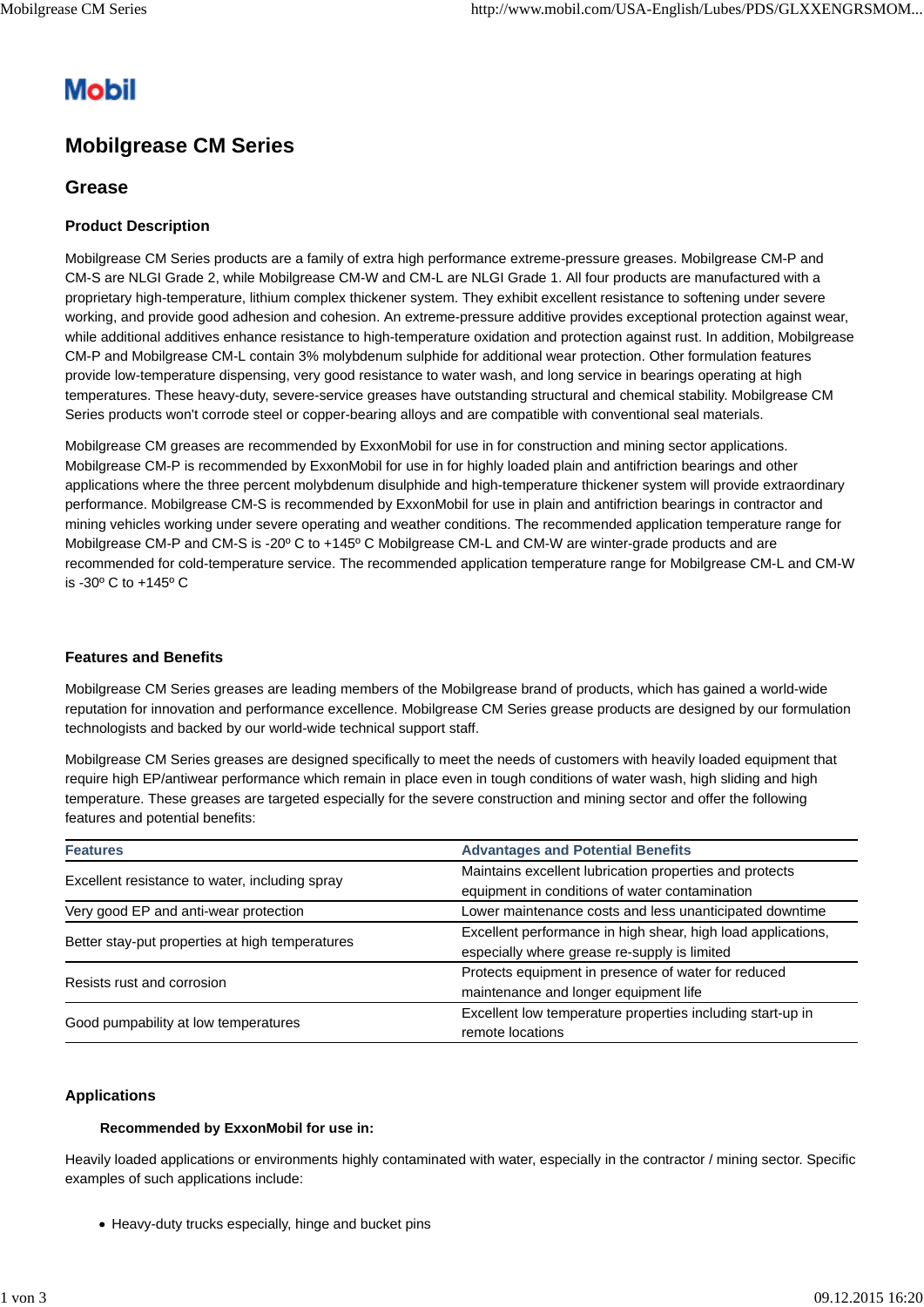# **Mobil**

# **Mobilgrease CM Series**

## **Grease**

### **Product Description**

Mobilgrease CM Series products are a family of extra high performance extreme-pressure greases. Mobilgrease CM-P and CM-S are NLGI Grade 2, while Mobilgrease CM-W and CM-L are NLGI Grade 1. All four products are manufactured with a proprietary high-temperature, lithium complex thickener system. They exhibit excellent resistance to softening under severe working, and provide good adhesion and cohesion. An extreme-pressure additive provides exceptional protection against wear, while additional additives enhance resistance to high-temperature oxidation and protection against rust. In addition, Mobilgrease CM-P and Mobilgrease CM-L contain 3% molybdenum sulphide for additional wear protection. Other formulation features provide low-temperature dispensing, very good resistance to water wash, and long service in bearings operating at high temperatures. These heavy-duty, severe-service greases have outstanding structural and chemical stability. Mobilgrease CM Series products won't corrode steel or copper-bearing alloys and are compatible with conventional seal materials.

Mobilgrease CM greases are recommended by ExxonMobil for use in for construction and mining sector applications. Mobilgrease CM-P is recommended by ExxonMobil for use in for highly loaded plain and antifriction bearings and other applications where the three percent molybdenum disulphide and high-temperature thickener system will provide extraordinary performance. Mobilgrease CM-S is recommended by ExxonMobil for use in plain and antifriction bearings in contractor and mining vehicles working under severe operating and weather conditions. The recommended application temperature range for Mobilgrease CM-P and CM-S is -20º C to +145º C Mobilgrease CM-L and CM-W are winter-grade products and are recommended for cold-temperature service. The recommended application temperature range for Mobilgrease CM-L and CM-W is -30º C to +145º C

#### **Features and Benefits**

Mobilgrease CM Series greases are leading members of the Mobilgrease brand of products, which has gained a world-wide reputation for innovation and performance excellence. Mobilgrease CM Series grease products are designed by our formulation technologists and backed by our world-wide technical support staff.

Mobilgrease CM Series greases are designed specifically to meet the needs of customers with heavily loaded equipment that require high EP/antiwear performance which remain in place even in tough conditions of water wash, high sliding and high temperature. These greases are targeted especially for the severe construction and mining sector and offer the following features and potential benefits:

| <b>Features</b>                                 | <b>Advantages and Potential Benefits</b>                                                                     |  |  |  |  |
|-------------------------------------------------|--------------------------------------------------------------------------------------------------------------|--|--|--|--|
| Excellent resistance to water, including spray  | Maintains excellent lubrication properties and protects<br>equipment in conditions of water contamination    |  |  |  |  |
| Very good EP and anti-wear protection           | Lower maintenance costs and less unanticipated downtime                                                      |  |  |  |  |
| Better stay-put properties at high temperatures | Excellent performance in high shear, high load applications,<br>especially where grease re-supply is limited |  |  |  |  |
| Resists rust and corrosion                      | Protects equipment in presence of water for reduced<br>maintenance and longer equipment life                 |  |  |  |  |
| Good pumpability at low temperatures            | Excellent low temperature properties including start-up in<br>remote locations                               |  |  |  |  |

#### **Applications**

#### **Recommended by ExxonMobil for use in:**

Heavily loaded applications or environments highly contaminated with water, especially in the contractor / mining sector. Specific examples of such applications include:

• Heavy-duty trucks especially, hinge and bucket pins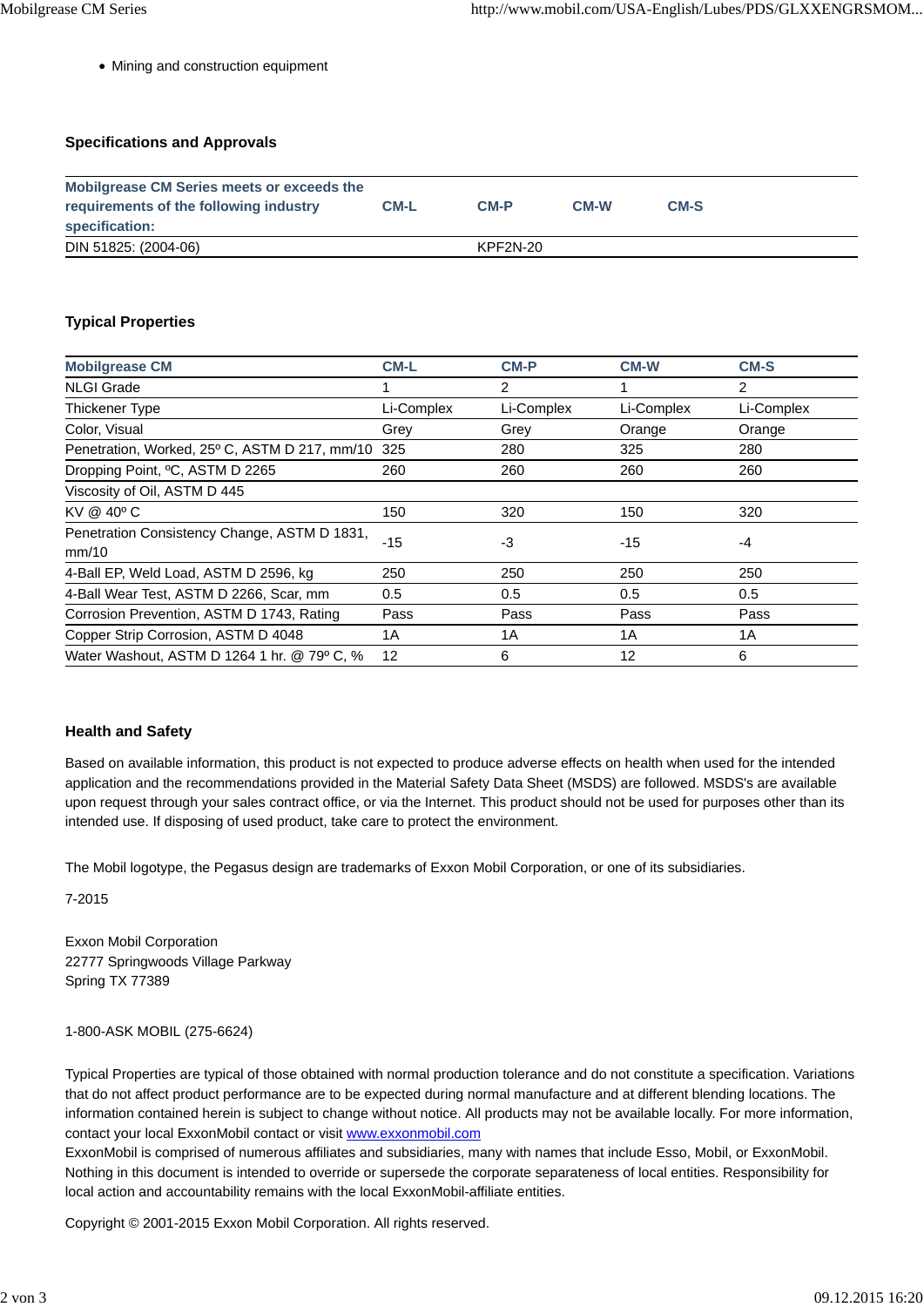Mining and construction equipment

#### **Specifications and Approvals**

| <b>Mobilgrease CM Series meets or exceeds the</b> |             |          |             |      |  |  |  |
|---------------------------------------------------|-------------|----------|-------------|------|--|--|--|
| requirements of the following industry            | <b>CM-L</b> | $CM-P$   | <b>CM-W</b> | CM-S |  |  |  |
| specification:                                    |             |          |             |      |  |  |  |
| DIN 51825: (2004-06)                              |             | KPF2N-20 |             |      |  |  |  |

#### **Typical Properties**

| <b>Mobilgrease CM</b>                                 | <b>CM-L</b> | <b>CM-P</b> | <b>CM-W</b> | <b>CM-S</b> |
|-------------------------------------------------------|-------------|-------------|-------------|-------------|
| <b>NLGI Grade</b>                                     |             | 2           |             | 2           |
| Thickener Type                                        | Li-Complex  | Li-Complex  | Li-Complex  | Li-Complex  |
| Color, Visual                                         | Grey        | Grey        | Orange      | Orange      |
| Penetration, Worked, 25° C, ASTM D 217, mm/10         | 325         | 280         | 325         | 280         |
| Dropping Point, <sup>o</sup> C, ASTM D 2265           | 260         | 260         | 260         | 260         |
| Viscosity of Oil, ASTM D 445                          |             |             |             |             |
| KV @ 40° C                                            | 150         | 320         | 150         | 320         |
| Penetration Consistency Change, ASTM D 1831,<br>mm/10 | $-15$       | -3          | $-15$       | -4          |
| 4-Ball EP, Weld Load, ASTM D 2596, kg                 | 250         | 250         | 250         | 250         |
| 4-Ball Wear Test, ASTM D 2266, Scar, mm               | 0.5         | 0.5         | 0.5         | 0.5         |
| Corrosion Prevention, ASTM D 1743, Rating             | Pass        | Pass        | Pass        | Pass        |
| Copper Strip Corrosion, ASTM D 4048                   | 1A          | 1A          | 1A          | 1A          |
| Water Washout, ASTM D 1264 1 hr. @ 79° C, %           | 12          | 6           | 12          | 6           |

#### **Health and Safety**

Based on available information, this product is not expected to produce adverse effects on health when used for the intended application and the recommendations provided in the Material Safety Data Sheet (MSDS) are followed. MSDS's are available upon request through your sales contract office, or via the Internet. This product should not be used for purposes other than its intended use. If disposing of used product, take care to protect the environment.

The Mobil logotype, the Pegasus design are trademarks of Exxon Mobil Corporation, or one of its subsidiaries.

7-2015

Exxon Mobil Corporation 22777 Springwoods Village Parkway Spring TX 77389

1-800-ASK MOBIL (275-6624)

Typical Properties are typical of those obtained with normal production tolerance and do not constitute a specification. Variations that do not affect product performance are to be expected during normal manufacture and at different blending locations. The information contained herein is subject to change without notice. All products may not be available locally. For more information, contact your local ExxonMobil contact or visit www.exxonmobil.com

ExxonMobil is comprised of numerous affiliates and subsidiaries, many with names that include Esso, Mobil, or ExxonMobil. Nothing in this document is intended to override or supersede the corporate separateness of local entities. Responsibility for local action and accountability remains with the local ExxonMobil-affiliate entities.

Copyright © 2001-2015 Exxon Mobil Corporation. All rights reserved.